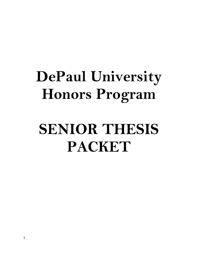# **DePaul University Honors Program**

# **SENIOR THESIS PACKET**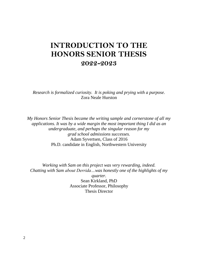# **INTRODUCTION TO THE HONORS SENIOR THESIS 2022-2023**

*Research is formalized curiosity. It is poking and prying with a purpose.* Zora Neale Hurston

*My Honors Senior Thesis became the writing sample and cornerstone of all my applications. It was by a wide margin the most important thing I did as an undergraduate, and perhaps the singular reason for my grad school admissions successes.* Adam Syvertsen, Class of 2016 Ph.D. candidate in English, Northwestern University

*Working with Sam on this project was very rewarding, indeed. Chatting with Sam about Derrida…was honestly one of the highlights of my* 

> *quarter.* Sean Kirkland, PhD Associate Professor, Philosophy Thesis Director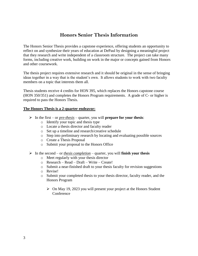# **Honors Senior Thesis Information**

The Honors Senior Thesis provides a capstone experience, offering students an opportunity to reflect on and synthesize their years of education at DePaul by designing a meaningful project that they research and write independent of a classroom structure. The project can take many forms, including creative work, building on work in the major or concepts gained from Honors and other coursework.

The thesis project requires extensive research and it should be original in the sense of bringing ideas together in a way that is the student's own. It allows students to work with two faculty members on a topic that interests them all.

Thesis students receive 4 credits for HON 395, which replaces the Honors capstone course (HON 350/351) and completes the Honors Program requirements. A grade of C- or higher is required to pass the Honors Thesis.

#### **The Honors Thesis is a 2-quarter endeavor:**

- $\triangleright$  In the first or *pre-thesis* quarter, you will **prepare for your thesis**:
	- o Identify your topic and thesis type
	- o Locate a thesis director and faculty reader
	- o Set up a timeline and research/creative schedule
	- o Step into preliminary research by locating and evaluating possible sources
	- o Create a Thesis Proposal
	- o Submit your proposal to the Honors Office
- $\triangleright$  In the second or *thesis completion* quarter, you will **finish your thesis** 
	- o Meet regularly with your thesis director
	- o Research Read Draft Write Create!
	- o Submit a near-finished draft to your thesis faculty for revision suggestions
	- o Revise!
	- o Submit your completed thesis to your thesis director, faculty reader, and the Honors Program
		- $\triangleright$  On May 19, 2023 you will present your project at the Honors Student **Conference**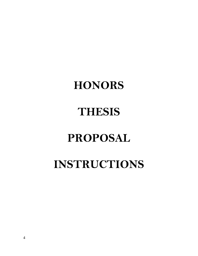# **HONORS**

# **THESIS**

# **PROPOSAL**

# **INSTRUCTIONS**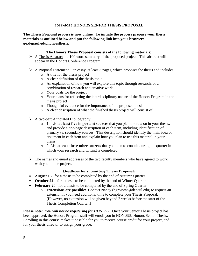#### **2022-2023 HONORS SENIOR THESIS PROPOSAL**

**The Thesis Proposal process is now online. To initiate the process prepare your thesis materials as outlined below and put the following link into your browser: go.depaul.edu/honorsthesis.** 

#### **The Honors Thesis Proposal consists of the following materials:**

- $\triangleright$  A Thesis Abstract a 100 word summary of the proposed project. This abstract will appear in the Honors Conference Program.
- $\triangleright$  A Proposal Statement an essay, at least 3 pages, which proposes the thesis and includes:
	- o A title for the thesis project
	- o A clear definition of the thesis topic
	- o An explanation of how you will explore this topic through research, or a combination of research and creative work
	- o Your goals for the project
	- o Your plans for reflecting the interdisciplinary nature of the Honors Program in the thesis project
	- o Thoughtful evidence for the importance of the proposed thesis
	- o A clear description of what the finished thesis project will consist of
- $\triangleright$  A two-part Annotated Bibliography
	- o 1: List **at least five important sources** that you plan to draw on in your thesis, and provide a one-page description of each item, including identification of primary vs. secondary sources. This description should identify the main idea or argument in each item and explain how you plan to use this material in your thesis.
	- o 2: List at least **three other sources** that you plan to consult during the quarter in which your research and writing is completed.
- $\triangleright$  The names and email addresses of the two faculty members who have agreed to work with you on the project.

#### **Deadlines for submitting Thesis Proposal:**

- **August 15** for a thesis to be completed by the end of Autumn Quarter
- October 24 for a thesis to be completed by the end of Winter Quarter
- **February 20** for a thesis to be completed by the end of Spring Quarter
	- o **Extensions are possible!** Contact Nancy (ngrossma@depaul.edu) to request an extension if you need additional time to complete your Thesis Proposal. (However, no extension will be given beyond 2 weeks before the start of the Thesis Completion Quarter.)

**Please note:** *You will not be registering for HON 395*. Once your Senior Thesis project has been approved, the Honors Program staff will enroll you in HON 395: Honors Senior Thesis. Enrolling in this course makes it possible for you to receive course credit for your project, and for your thesis director to assign your grade.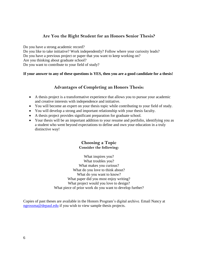### **Are You the Right Student for an Honors Senior Thesis?**

Do you have a strong academic record?

Do you like to take initiative? Work independently? Follow where your curiosity leads? Do you have a previous project or paper that you want to keep working on? Are you thinking about graduate school? Do you want to contribute to your field of study?

#### **If your answer to any of these questions is YES, then you are a good candidate for a thesis!**

### **Advantages of Completing an Honors Thesis:**

- A thesis project is a transformative experience that allows you to pursue your academic and creative interests with independence and initiative.
- You will become an expert on your thesis topic while contributing to your field of study.
- You will develop a strong and important relationship with your thesis faculty.
- A thesis project provides significant preparation for graduate school.
- Your thesis will be an important addition to your resume and portfolio, identifying you as a student who went beyond expectations to define and own your education in a truly distinctive way!

#### **Choosing a Topic Consider the following:**

What inspires you? What troubles you? What makes you curious? What do you love to think about? What do you want to know? What paper did you most enjoy writing? What project would you love to design? What piece of prior work do you want to develop further?

Copies of past theses are available in the Honors Program's digital archive. Email Nancy at [ngrossma@depaul.edu](mailto:ngrossma@depaul.edu) if you wish to view sample thesis projects.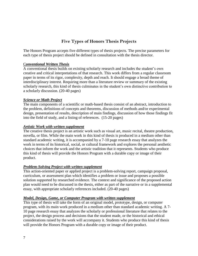## **Five Types of Honors Thesis Projects**

The Honors Program accepts five different types of thesis projects. The precise parameters for each type of thesis project should be defined in consultation with the thesis director.

#### C*onventional Written Thesis*

A conventional thesis builds on existing scholarly research and includes the student's own creative and critical interpretations of that research. This work differs from a regular classroom paper in terms of its rigor, complexity, depth and reach. It should engage a broad theme of interdisciplinary interest. Requiring more than a literature review or summary of the existing scholarly research, this kind of thesis culminates in the student's own distinctive contribution to a scholarly discussion. (20-40 pages)

#### *Science or Math Project*

The main components of a scientific or math-based thesis consist of an abstract, introduction to the problem, definitions of concepts and theorems, discussion of methods and/or experimental design, presentation of results, description of main findings, discussion of how those findings fit into the field of study, and a listing of references. (15-20 pages)

#### *Artistic Work with written supplement*

The creative thesis project is an artistic work such as visual art, music recital, theatre production, novella, or film. While the main work in this kind of thesis is produced in a medium other than standard academic writing, it is accompanied by a 7-10 page research essay that analyzes the work in terms of its historical, social, or cultural framework and explores the personal aesthetic choices that inform the work and the artistic tradition that it represents. Students who produce this kind of thesis will provide the Honors Program with a durable copy or image of their product.

#### *Problem-Solving Project with written supplement*

This action-oriented paper or applied project is a problem-solving report, campaign proposal, curriculum, or assessment plan which identifies a problem or issue and proposes a possible solution supported by researched evidence. The context and significance of the proposed action plan would need to be discussed in the thesis, either as part of the narrative or in a supplemental essay, with appropriate scholarly references included. (20-40 pages)

#### *Model, Design, Game, or Computer Program with written supplement*

This type of thesis will take the form of an original model, prototype, design, or computer program, with its main work produced in a medium other than standard academic writing. A 7- 10 page research essay that analyzes the scholarly or professional literature that relates to the project, the design process and decisions that the student made, or the historical and ethical considerations raised by the work will accompany it. Students who produce this kind of thesis will provide the Honors Program with a durable copy or image of their product.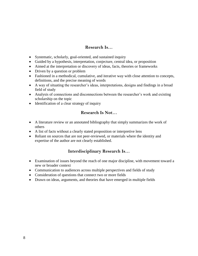#### **Research Is…**

- Systematic, scholarly, goal-oriented, and sustained inquiry
- Guided by a hypothesis, interpretation, conjecture, central idea, or proposition
- Aimed at the interpretation or discovery of ideas, facts, theories or frameworks
- Driven by a question or problem
- Fashioned in a methodical, cumulative, and iterative way with close attention to concepts, definitions, and the precise meaning of words
- A way of situating the researcher's ideas, interpretations, designs and findings in a broad field of study
- Analysis of connections and disconnections between the researcher's work and existing scholarship on the topic
- Identification of a clear strategy of inquiry

### **Research Is Not…**

- A literature review or an annotated bibliography that simply summarizes the work of others
- A list of facts without a clearly stated proposition or interpretive lens
- Reliant on sources that are not peer-reviewed, or materials where the identity and expertise of the author are not clearly established.

### **Interdisciplinary Research Is…**

- Examination of issues beyond the reach of one major discipline, with movement toward a new or broader context
- Communication to audiences across multiple perspectives and fields of study
- Consideration of questions that connect two or more fields
- Drawn on ideas, arguments, and theories that have emerged in multiple fields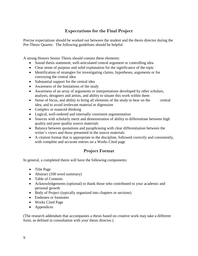### **Expectations for the Final Project**

Precise expectations should be worked out between the student and the thesis director during the Pre-Thesis Quarter. The following guidelines should be helpful:

A strong Honors Senior Thesis should contain these elements:

- Sound thesis statement, well-articulated central argument or controlling idea
- Clear sense of purpose and solid explanation for the significance of the topic
- Identification of strategies for investigating claims, hypotheses, arguments or for conveying the central idea
- Substantial support for the central idea
- Awareness of the limitations of the study
- Awareness of an array of arguments or interpretations developed by other scholars, analysts, designers and artists, and ability to situate this work within them
- Sense of focus, and ability to bring all elements of the study to bear on the central idea, and to avoid irrelevant material or digression
- Complex or nuanced thinking
- Logical, well-ordered and internally consistent argumentation
- Sources with scholarly merit and demonstration of ability to differentiate between high quality and poor quality source materials
- Balance between quotations and paraphrasing with clear differentiation between the writer's views and those presented in the source materials
- A citation format that is appropriate to the discipline, followed correctly and consistently, with complete and accurate entries on a Works Cited page

### **Project Format**

In general, a completed thesis will have the following components:

- Title Page
- Abstract (100 word summary)
- Table of Contents
- Acknowledgements (optional) to thank those who contributed to your academic and personal growth
- Body of Project (typically organized into chapters or sections)
- Endnotes or footnotes
- Works Cited Page
- Appendices

(The research addendum that accompanies a thesis based on creative work may take a different form, as defined in consultation with your thesis director.)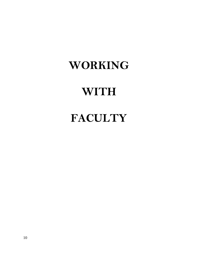# **WORKING**

# **WITH**

# **FACULTY**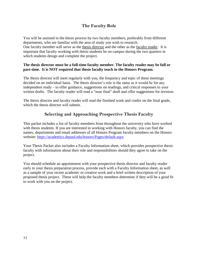### **The Faculty Role**

You will be assisted in the thesis process by two faculty members, preferably from different departments, who are familiar with the area of study you wish to research. One faculty member will serve as the thesis director and the other as the faculty reader. It is important that faculty working with thesis students be on campus during the two quarters in which students design and complete the project.

#### **The thesis director must be a full-time faculty member. The faculty reader may be full or part-time. It is NOT required that thesis faculty teach in the Honors Program.**

The thesis director will meet regularly with you, the frequency and topic of these meetings decided on an individual basis. The thesis director's role is the same as it would be for any independent study – to offer guidance, suggestions on readings, and critical responses to your written drafts. The faculty reader will read a "near final" draft and offer suggestions for revision.

The thesis director and faculty reader will read the finished work and confer on the final grade, which the thesis director will submit.

### **Selecting and Approaching Prospective Thesis Faculty**

This packet includes a list of faculty members from throughout the university who have worked with thesis students. If you are interested in working with Honors faculty, you can find the names, departments and email addresses of all Honors Program faculty members on the Honors website:<https://academics.depaul.edu/honors/Pages/default.aspx>

Your Thesis Packet also includes a Faculty Information sheet, which provides prospective thesis faculty with information about their role and responsibilities should they agree to take on the project.

You should schedule an appointment with your prospective thesis director and faculty reader early in your thesis preparation process, provide each with a Faculty Information sheet, as well as a sample of your recent academic or creative work and a brief written description of your proposed thesis project. These will help the faculty members determine if they will be a good fit to work with you on the project.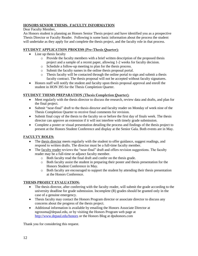#### **HONORS SENIOR THESIS: FACULTY INFORMATION**

Dear Faculty Member,

An Honors student is planning an Honors Senior Thesis project and have identified you as a prospective Thesis Director or Faculty Reader. Following is some basic information about the process the student will undertake as they apply for and complete the thesis project, and the faculty role in that process.

#### **STUDENT APPLICATION PROCESS (Pre-Thesis Quarter):**

- Line up thesis faculty
	- o Provide the faculty members with a brief written description of the proposed thesis project and a sample of a recent paper, allowing 1-2 weeks for faculty decision.
	- o Schedule a follow-up meeting to plan for the thesis process.
	- o Submit the faculty names in the online thesis proposal portal.
	- o Thesis faculty will be contacted through the online portal to sign and submit a thesis faculty contract. The thesis proposal will not be accepted without faculty signatures.
- Honors staff will notify the student and faculty upon thesis proposal approval and enroll the student in HON 395 for the Thesis Completion Quarter.

#### **STUDENT THESIS PREPARATION (Thesis Completion Quarter):**

- Meet regularly with the thesis director to discuss the research, review data and drafts, and plan for the final project.
- Submit "near-final" draft to the thesis director and faculty reader on Monday of week nine of the Thesis Completion Quarter to receive final comments for revision.
- Submit final copy of the thesis to the faculty on or before the first day of finals week. The thesis director can approve an extension if it will not interfere with timely grade submission.
- Complete a poster or visual presentation detailing the process and findings of the thesis project to present at the Honors Student Conference and display at the Senior Gala. Both events are in May.

#### **FACULTY ROLES:**

- The thesis director meets regularly with the student to offer guidance, suggest readings, and respond to written drafts. The director must be a full-time faculty member.
- The faculty reader reviews the "near-final" draft and offers revision suggestions. The faculty reader may be a full-time or adjunct faculty member.
	- o Both faculty read the final draft and confer on the thesis grade.
	- o Both faculty assist the student in preparing their poster and thesis presentation for the Honors Student Conference in May.
	- o Both faculty are encouraged to support the student by attending their thesis presentation at the Honors Conference.

#### **THESIS PROJECT EVALUATION:**

- The thesis director, after conferring with the faculty reader, will submit the grade according to the university deadline for grade submission. Incomplete (R) grades should be granted only in the case of a genuine emergency.
- Thesis faculty may contact the Honors Program director or associate director to discuss any concerns about the progress of the thesis project.
- Additional information is available by emailing the Honors Associate Director at ngrossma@depaul.edu, or by visiting the Honors Program web page at <http://www.depaul.edu/honors> or the Honors Blog at dpuhonors.com

Thank you for considering this request.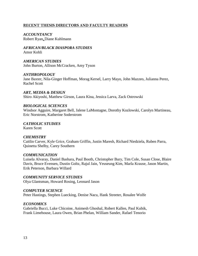#### **RECENT THESIS DIRECTORS AND FACULTY READERS**

*ACCOUNTANCY* Robert Ryan**,** Diane Kuhlmann

*AFRICAN/BLACK DIASPORA STUDIES* Amor Kohli

*AMERICAN STUDIES* John Burton, Allison McCracken, Amy Tyson

#### *ANTHROPOLOGY*

Jane Baxter, Nila-Ginger Hoffman, Morag Kersel, Larry Mayo, John Mazzeo, Julianna Perez, Rachel Scott

*ART, MEDIA & DESIGN* Shiro Akiyoshi, Matthew Girson, Laura Kina, Jessica Larva, Zack Ostrowski

#### *BIOLOGICAL SCIENCES*

Windsor Agguire, Margaret Bell, Jalene LaMontagne, Dorothy Kozlowski, Carolyn Martineau, Eric Norstrom, Katherine Soderstrom

*CATHOLIC STUDIES*

Karen Scott

#### *CHEMISTRY*

Caitlin Carver, Kyle Grice, Graham Griffin, Justin Maresh, Richard Niedziela, Ruben Parra, Quinetta Shelby, Carey Southern

#### *COMMUNICATION*

Luisela Alvaray, Daniel Bashara, Paul Booth, Christopher Bury, Tim Cole, Susan Close, Blaire Davis, Bruce Evensen, Dustin Goltz, Rajul Jain, Yeuseung Kim, Marla Krause, Jason Martin, Erik Peterson, Barbara Willard

#### *COMMUNITY SERVICE STUDIES*

Olya Glantsman, Howard Rosing, Leonard Jason

#### *COMPUTER SCIENCE*

Peter Hastings, Stephen Luecking, Denise Nacu, Hank Streeter, Rosalee Wolfe

#### *ECONOMICS*

Gabriella Bucci, Luke Chicoine, Animesh Ghoshal, Robert Kallen, Paul Kubik, Frank Limehouse, Laura Owen, Brian Phelan, William Sander, Rafael Tenorio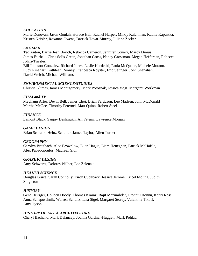#### *EDUCATION*

Marie Donovan, Jason Goulah, Horace Hall, Rachel Harper, Mindy Kalchman, Kathie Kapustka, Kristen Neisler, Roxanne Owens, Darrick Tovar-Murray, Liliana Zecker

#### *ENGLISH*

Ted Anton, Barrie Jean Borich, Rebecca Cameron, Jennifer Conary, Marcy Dinius, James Fairhall, Chris Solis Green, Jonathan Gross, Nancy Grossman, Megan Heffernan, Rebecca Johns-Trissler, Bill Johnson-Gonzalez, Richard Jones, Leslie Kordecki, Paula McQuade, Michele Morano, Lucy Rinehart, Kathleen Rooney, Francesca Royster, Eric Selinger, John Shanahan, David Welch, Michael Williams

#### *ENVIRONMENTAL SCIENCE/STUDIES*

Christie Klimas, James Montgomery, Mark Potosnak, Jessica Vogt, Margaret Workman

#### *FILM and TV*

Meghann Artes, Devin Bell, James Choi, Brian Ferguson, Lee Madsen, John McDonald Martha McGee, Timothy Peternel, Matt Quinn, Robert Steel

#### *FINANCE*

Lamont Black, Sanjay Deshmukh, Ali Fatemi, Lawrence Morgan

#### *GAME DESIGN*

Brian Schrank, Heinz Schuller, James Taylor, Allen Turner

#### *GEOGRAPHY*

Carolyn Breitbach, Alec Brownlow, Euan Hague, Liam Heneghan, Patrick McHaffie, Alex Papadopoulos, Maureen Sioh

#### *GRAPHIC DESIGN*

Amy Schwartz, Dolores Wilber, Lee Zelenak

#### *HEALTH SCIENCE*

Douglas Bruce, Sarah Connolly, Eiron Cudaback, Jessica Jerome, Cricel Molina, Judith Singleton

#### *HISTORY*

Gene Beiriger, Colleen Doody, Thomas Krainz, Rajit Mazumbder, Otonnu Otonnu, Kerry Ross, Anna Schaposchnik, Warren Schultz, Lisa Sigel, Margaret Storey, Valentina Tikoff, Amy Tyson

#### *HISTORY OF ART & ARCHITECTURE*

Cheryl Bachand, Mark Delancey, Joanna Gardner-Huggett, Mark Pohlad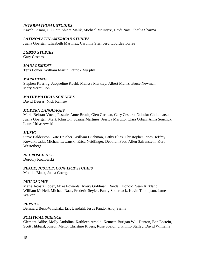#### *INTERNATIONAL STUDIES*

Kaveh Ehsani, Gil Gott, Shiera Malik, Michael McIntyre, Heidi Nast, Shailja Sharma

#### *LATINO/LATIN AMERICAN STUDIES*

Juana Goergen, Elizabeth Martinez, Carolina Sternberg, Lourdes Torres

#### *LGBTQ STUDIES*

Gary Cestaro

#### *MANAGEMENT*

Terri Lonier, William Martin*,* Patrick Murphy

#### *MARKETING*

Stephen Koernig, Jacqueline Kuehl, Melissa Markley, Albert Muniz, Bruce Newman, Mary Vermillion

*MATHEMATICAL SCIENCES* David Degras, Nick Ramsey

#### *MODERN LANGUAGES*

Maria Beltran-Vocal, Pascale-Anne Brault, Glen Carman, Gary Cestaro, Nobuko Chikamatsu, Juana Goergen, Mark Johnston, Susana Martinez, Jessica Martino, Clara Orban, Anna Souchuk, Laura Urbaszewski

#### *MUSIC*

Steve Balderston, Kate Brucher, William Buchman, Cathy Elias, Christopher Jones, Jeffrey Kowalkowski, Michael Lewanski, Erica Neidlinger, Deborah Peot, Allen Salzenstein, Kurt Westerberg

#### *NEUROSCIENCE*

Dorothy Kozlowski

*PEACE, JUSTICE, CONFLICT STUDIES*

Monika Black, Juana Goergen

#### *PHILOSOPHY*

Maria Acosta Lopez, Mike Edwards, Avery Goldman, Randall Honold, Sean Kirkland, William McNeil, Michael Naas, Frederic Seyler, Fanny Soderback, Kevin Thompson, James Walker

#### *PHYSICS*

Bernhard Beck-Winchatz, Eric Landahl, Jesus Pando, Anuj Sarma

#### *POLITICAL SCIENCE*

Clement Adibe, Molly Andolina, Kathleen Arnold, Kenneth Butigan,Will Denton, Ben Epstein, Scott Hibbard, Joseph Mello, Christine Rivers, Rose Spalding, Phillip Stalley, David Williams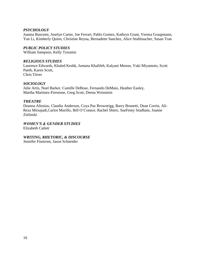#### *PSYCHOLOGY*

Joanna Buscemi, Joselyn Carter, Joe Ferrari, Pablo Gomez, Kathryn Grant, Verena Graupmann, Yan Li, Kimberly Quinn, Christine Reyna, Bernadette Sanchez, Alice Stuhlmacher, Susan Tran

#### *PUBLIC POLICY STUDIES*

William Sampson, Kelly Tzoumis

#### *RELIGIOUS STUDIES*

Laurence Edwards, Khaled Keshk, Jumana Khalifeh, Kalyani Menon, Yuki Miyamoto, Scott Paeth, Karen Scott, Chris Tirres

#### *SOCIOLOGY*

Julie Artis, Noel Barker, Camille DeBose, Fernando DeMaio, Heather Easley, Martha Martinez-Firestone, Greg Scott, Deena Weinstein

#### *THEATRE*

Deanna Aliosius, Claudia Anderson, Coya Paz Brownrigg, Barry Brunetti, Dean Corrin, Ali-Reza Mirsajadi,Carlos Murillo, Bill O'Connor, Rachel Shteir, SueFenty Studham, Joanne Zielinski

# *WOMEN'S & GENDER STUDIES*

Elizabeth Catlett

#### *WRITING, RHETORIC, & DISCOURSE*

Jennifer Finstrom, Jason Schneider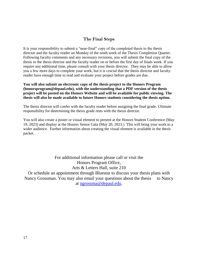#### **The Final Steps**

It is your responsibility to submit a "near-final" copy of the completed thesis to the thesis director and the faculty reader on Monday of the ninth week of the Thesis Completion Quarter. Following faculty comments and any necessary revisions, you will submit the final copy of the thesis to the thesis director and the faculty reader on or before the first day of finals week. If you require any additional time, please consult with your thesis director. They may be able to allow you a few more days to complete your work, but it is crucial that the thesis director and faculty reader have enough time to read and evaluate your project before grades are due.

#### **You will also submit an electronic copy of the thesis project to the Honors Program (honorsprogram@depaul.edu), with the understanding that a PDF version of the thesis project will be posted on the Honors Website and will be available for public viewing. The thesis will also be made available to future Honors students considering the thesis option.**

The thesis director will confer with the faculty reader before assigning the final grade. Ultimate responsibility for determining the thesis grade rests with the thesis director.

You will also create a poster or visual element to present at the Honors Student Conference (May 19, 2023) and display at the Honors Senior Gala (May 20, 2023.) This will bring your work to a wider audience. Further information about creating the visual element is available in the thesis packet.

> For additional information please call or visit the Honors Program Office, Arts & Letters Hall, suite 210

Or schedule an appointment through Bluestar to discuss your thesis plans with Nancy Grossman. You may also email your questions about the thesis to Nancy at [ngrossma@depaul.edu.](mailto:ngrossma@depaul.edu)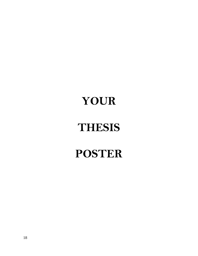# **YOUR**

# **THESIS**

# **POSTER**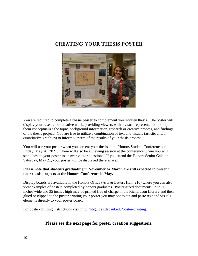# **CREATING YOUR THESIS POSTER**



You are required to complete a **thesis poster** to complement your written thesis. The poster will display your research or creative work, providing viewers with a visual representation to help them conceptualize the topic, background information, research or creative process, and findings of the thesis project. You are free to utilize a combination of text and visuals (artistic and/or quantitative graphics) to inform viewers of the results of your thesis process.

You will use your poster when you present your thesis at the Honors Student Conference on Friday, May 20, 2021. There will also be a viewing session at the conference where you will stand beside your poster to answer visitor questions. If you attend the Honors Senior Gala on Saturday, May 21, your poster will be displayed there as well.

#### **Please note that students graduating in November or March are still expected to present their thesis projects at the Honors Conference in May.**

Display boards are available in the Honors Office (Arts & Letters Hall, 210) where you can also view examples of posters completed by honors graduates. Poster-sized documents up to 56 inches wide and 35 inches high may be printed free of charge in the Richardson Library and then glued or clipped to the poster printing your poster you may opt to cut and paste text and visuals elements directly to your poster board.

For poster-printing instructions visit [http://libguides.depaul.edu/poster-printing.](http://libguides.depaul.edu/poster-printing)

### **Please see the next page for poster creation suggestions.**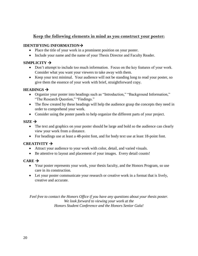### **Keep the following elements in mind as you construct your poster:**

#### **IDENTIFYING INFORMATION**

- Place the title of your work in a prominent position on your poster.
- Include your name and the name of your Thesis Director and Faculty Reader.

#### $SIMPLICITY$   $\rightarrow$

- Don't attempt to include too much information. Focus on the key features of your work. Consider what you want your viewers to take away with them.
- Keep your text minimal. Your audience will not be standing long to read your poster, so give them the essence of your work with brief, straightforward copy.

#### **HEADINGS**  $\rightarrow$

- Organize your poster into headings such as "Introduction," "Background Information," "The Research Question," "Findings."
- The flow created by these headings will help the audience grasp the concepts they need in order to comprehend your work.
- Consider using the poster panels to help organize the different parts of your project.

#### $SIZE \rightarrow$

- The text and graphics on your poster should be large and bold so the audience can clearly view your work from a distance.
- For headings use at least a 48-point font, and for body text use at least 18-point font.

#### **CREATIVITY**

- Attract your audience to your work with color, detail, and varied visuals.
- Be attentive to layout and placement of your images. Every detail counts!

#### $CARE \rightarrow$

- Your poster represents your work, your thesis faculty, and the Honors Program, so use care in its construction.
- Let your poster communicate your research or creative work in a format that is lively, creative and accurate.

*Feel free to contact the Honors Office if you have any questions about your thesis poster. We look forward to viewing your work at the Honors Student Conference and the Honors Senior Gala!*